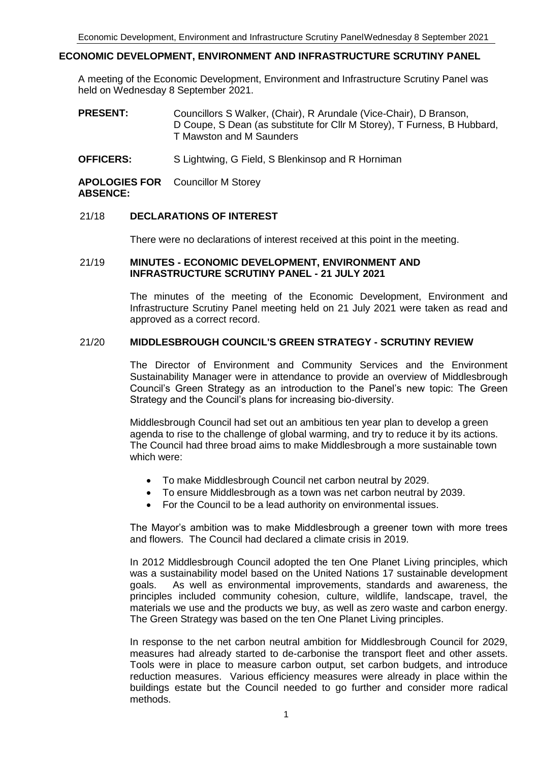# **ECONOMIC DEVELOPMENT, ENVIRONMENT AND INFRASTRUCTURE SCRUTINY PANEL**

A meeting of the Economic Development, Environment and Infrastructure Scrutiny Panel was held on Wednesday 8 September 2021.

- **PRESENT:** Councillors S Walker, (Chair), R Arundale (Vice-Chair), D Branson, D Coupe, S Dean (as substitute for Cllr M Storey), T Furness, B Hubbard, T Mawston and M Saunders
- **OFFICERS:** S Lightwing, G Field, S Blenkinsop and R Horniman

**APOLOGIES FOR**  Councillor M Storey **ABSENCE:**

# 21/18 **DECLARATIONS OF INTEREST**

There were no declarations of interest received at this point in the meeting.

# 21/19 **MINUTES - ECONOMIC DEVELOPMENT, ENVIRONMENT AND INFRASTRUCTURE SCRUTINY PANEL - 21 JULY 2021**

The minutes of the meeting of the Economic Development, Environment and Infrastructure Scrutiny Panel meeting held on 21 July 2021 were taken as read and approved as a correct record.

# 21/20 **MIDDLESBROUGH COUNCIL'S GREEN STRATEGY - SCRUTINY REVIEW**

The Director of Environment and Community Services and the Environment Sustainability Manager were in attendance to provide an overview of Middlesbrough Council's Green Strategy as an introduction to the Panel's new topic: The Green Strategy and the Council's plans for increasing bio-diversity.

Middlesbrough Council had set out an ambitious ten year plan to develop a green agenda to rise to the challenge of global warming, and try to reduce it by its actions. The Council had three broad aims to make Middlesbrough a more sustainable town which were:

- To make Middlesbrough Council net carbon neutral by 2029.
- To ensure Middlesbrough as a town was net carbon neutral by 2039.
- For the Council to be a lead authority on environmental issues.

The Mayor's ambition was to make Middlesbrough a greener town with more trees and flowers. The Council had declared a climate crisis in 2019.

In 2012 Middlesbrough Council adopted the ten One Planet Living principles, which was a sustainability model based on the United Nations 17 sustainable development goals. As well as environmental improvements, standards and awareness, the principles included community cohesion, culture, wildlife, landscape, travel, the materials we use and the products we buy, as well as zero waste and carbon energy. The Green Strategy was based on the ten One Planet Living principles.

In response to the net carbon neutral ambition for Middlesbrough Council for 2029, measures had already started to de-carbonise the transport fleet and other assets. Tools were in place to measure carbon output, set carbon budgets, and introduce reduction measures. Various efficiency measures were already in place within the buildings estate but the Council needed to go further and consider more radical methods.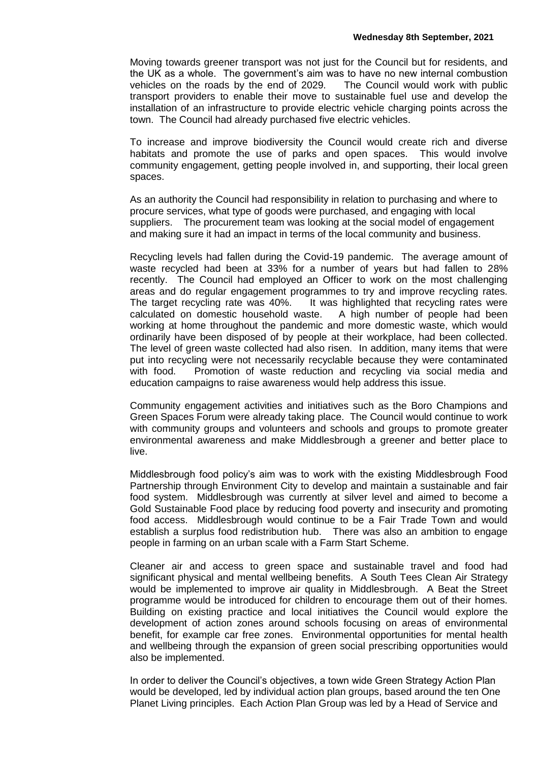Moving towards greener transport was not just for the Council but for residents, and the UK as a whole. The government's aim was to have no new internal combustion vehicles on the roads by the end of 2029. The Council would work with public transport providers to enable their move to sustainable fuel use and develop the installation of an infrastructure to provide electric vehicle charging points across the town. The Council had already purchased five electric vehicles.

To increase and improve biodiversity the Council would create rich and diverse habitats and promote the use of parks and open spaces. This would involve community engagement, getting people involved in, and supporting, their local green spaces.

As an authority the Council had responsibility in relation to purchasing and where to procure services, what type of goods were purchased, and engaging with local suppliers. The procurement team was looking at the social model of engagement and making sure it had an impact in terms of the local community and business.

Recycling levels had fallen during the Covid-19 pandemic. The average amount of waste recycled had been at 33% for a number of years but had fallen to 28% recently. The Council had employed an Officer to work on the most challenging areas and do regular engagement programmes to try and improve recycling rates. The target recycling rate was 40%. It was highlighted that recycling rates were calculated on domestic household waste. A high number of people had been working at home throughout the pandemic and more domestic waste, which would ordinarily have been disposed of by people at their workplace, had been collected. The level of green waste collected had also risen. In addition, many items that were put into recycling were not necessarily recyclable because they were contaminated with food. Promotion of waste reduction and recycling via social media and education campaigns to raise awareness would help address this issue.

Community engagement activities and initiatives such as the Boro Champions and Green Spaces Forum were already taking place. The Council would continue to work with community groups and volunteers and schools and groups to promote greater environmental awareness and make Middlesbrough a greener and better place to live.

Middlesbrough food policy's aim was to work with the existing Middlesbrough Food Partnership through Environment City to develop and maintain a sustainable and fair food system. Middlesbrough was currently at silver level and aimed to become a Gold Sustainable Food place by reducing food poverty and insecurity and promoting food access. Middlesbrough would continue to be a Fair Trade Town and would establish a surplus food redistribution hub. There was also an ambition to engage people in farming on an urban scale with a Farm Start Scheme.

Cleaner air and access to green space and sustainable travel and food had significant physical and mental wellbeing benefits. A South Tees Clean Air Strategy would be implemented to improve air quality in Middlesbrough. A Beat the Street programme would be introduced for children to encourage them out of their homes. Building on existing practice and local initiatives the Council would explore the development of action zones around schools focusing on areas of environmental benefit, for example car free zones. Environmental opportunities for mental health and wellbeing through the expansion of green social prescribing opportunities would also be implemented.

In order to deliver the Council's objectives, a town wide Green Strategy Action Plan would be developed, led by individual action plan groups, based around the ten One Planet Living principles. Each Action Plan Group was led by a Head of Service and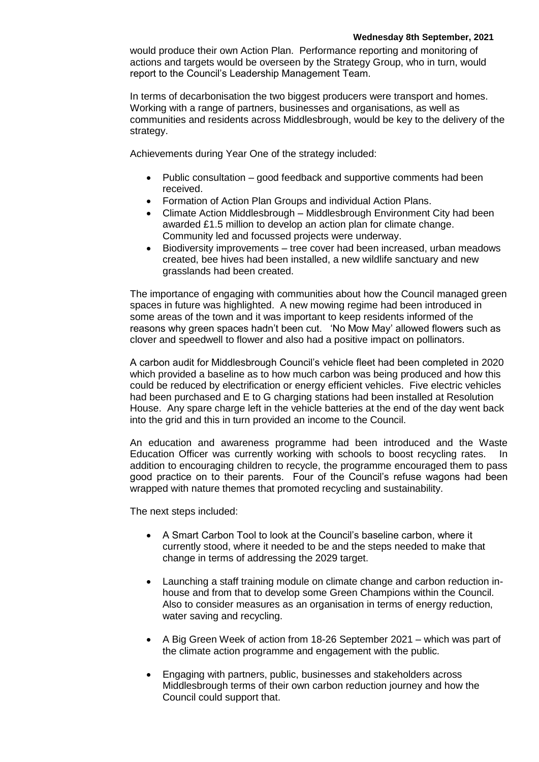would produce their own Action Plan. Performance reporting and monitoring of actions and targets would be overseen by the Strategy Group, who in turn, would report to the Council's Leadership Management Team.

In terms of decarbonisation the two biggest producers were transport and homes. Working with a range of partners, businesses and organisations, as well as communities and residents across Middlesbrough, would be key to the delivery of the strategy.

Achievements during Year One of the strategy included:

- Public consultation good feedback and supportive comments had been received.
- Formation of Action Plan Groups and individual Action Plans.
- Climate Action Middlesbrough Middlesbrough Environment City had been awarded £1.5 million to develop an action plan for climate change. Community led and focussed projects were underway.
- Biodiversity improvements tree cover had been increased, urban meadows created, bee hives had been installed, a new wildlife sanctuary and new grasslands had been created.

The importance of engaging with communities about how the Council managed green spaces in future was highlighted. A new mowing regime had been introduced in some areas of the town and it was important to keep residents informed of the reasons why green spaces hadn't been cut. 'No Mow May' allowed flowers such as clover and speedwell to flower and also had a positive impact on pollinators.

A carbon audit for Middlesbrough Council's vehicle fleet had been completed in 2020 which provided a baseline as to how much carbon was being produced and how this could be reduced by electrification or energy efficient vehicles. Five electric vehicles had been purchased and E to G charging stations had been installed at Resolution House. Any spare charge left in the vehicle batteries at the end of the day went back into the grid and this in turn provided an income to the Council.

An education and awareness programme had been introduced and the Waste Education Officer was currently working with schools to boost recycling rates. In addition to encouraging children to recycle, the programme encouraged them to pass good practice on to their parents. Four of the Council's refuse wagons had been wrapped with nature themes that promoted recycling and sustainability.

The next steps included:

- A Smart Carbon Tool to look at the Council's baseline carbon, where it currently stood, where it needed to be and the steps needed to make that change in terms of addressing the 2029 target.
- Launching a staff training module on climate change and carbon reduction inhouse and from that to develop some Green Champions within the Council. Also to consider measures as an organisation in terms of energy reduction, water saving and recycling.
- A Big Green Week of action from 18-26 September 2021 which was part of the climate action programme and engagement with the public*.*
- Engaging with partners, public, businesses and stakeholders across Middlesbrough terms of their own carbon reduction journey and how the Council could support that.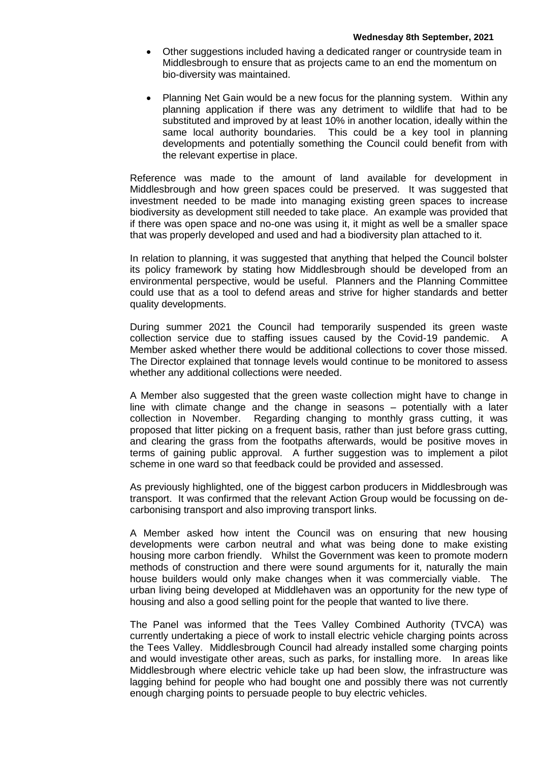- Other suggestions included having a dedicated ranger or countryside team in Middlesbrough to ensure that as projects came to an end the momentum on bio-diversity was maintained.
- Planning Net Gain would be a new focus for the planning system. Within any planning application if there was any detriment to wildlife that had to be substituted and improved by at least 10% in another location, ideally within the same local authority boundaries. This could be a key tool in planning developments and potentially something the Council could benefit from with the relevant expertise in place.

Reference was made to the amount of land available for development in Middlesbrough and how green spaces could be preserved. It was suggested that investment needed to be made into managing existing green spaces to increase biodiversity as development still needed to take place. An example was provided that if there was open space and no-one was using it, it might as well be a smaller space that was properly developed and used and had a biodiversity plan attached to it.

In relation to planning, it was suggested that anything that helped the Council bolster its policy framework by stating how Middlesbrough should be developed from an environmental perspective, would be useful. Planners and the Planning Committee could use that as a tool to defend areas and strive for higher standards and better quality developments.

During summer 2021 the Council had temporarily suspended its green waste collection service due to staffing issues caused by the Covid-19 pandemic. A Member asked whether there would be additional collections to cover those missed. The Director explained that tonnage levels would continue to be monitored to assess whether any additional collections were needed.

A Member also suggested that the green waste collection might have to change in line with climate change and the change in seasons – potentially with a later collection in November. Regarding changing to monthly grass cutting, it was proposed that litter picking on a frequent basis, rather than just before grass cutting, and clearing the grass from the footpaths afterwards, would be positive moves in terms of gaining public approval. A further suggestion was to implement a pilot scheme in one ward so that feedback could be provided and assessed.

As previously highlighted, one of the biggest carbon producers in Middlesbrough was transport. It was confirmed that the relevant Action Group would be focussing on decarbonising transport and also improving transport links.

A Member asked how intent the Council was on ensuring that new housing developments were carbon neutral and what was being done to make existing housing more carbon friendly. Whilst the Government was keen to promote modern methods of construction and there were sound arguments for it, naturally the main house builders would only make changes when it was commercially viable. The urban living being developed at Middlehaven was an opportunity for the new type of housing and also a good selling point for the people that wanted to live there.

The Panel was informed that the Tees Valley Combined Authority (TVCA) was currently undertaking a piece of work to install electric vehicle charging points across the Tees Valley. Middlesbrough Council had already installed some charging points and would investigate other areas, such as parks, for installing more. In areas like Middlesbrough where electric vehicle take up had been slow, the infrastructure was lagging behind for people who had bought one and possibly there was not currently enough charging points to persuade people to buy electric vehicles.